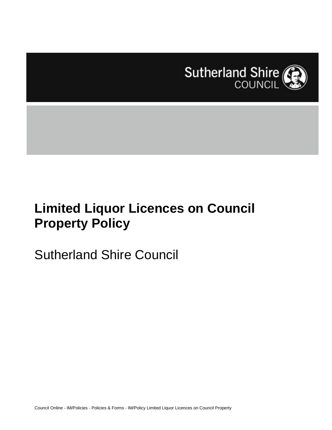

# **Limited Liquor Licences on Council Property Policy**

# Sutherland Shire Council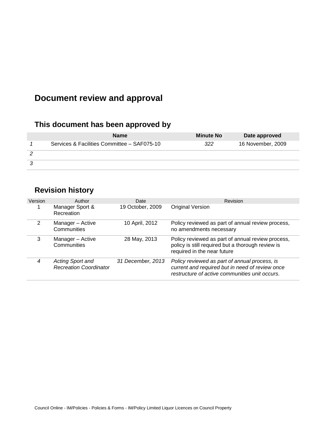# **Document review and approval**

# **This document has been approved by**

| <b>Name</b>                                 | <b>Minute No</b> | Date approved     |
|---------------------------------------------|------------------|-------------------|
| Services & Facilities Committee - SAF075-10 | 322              | 16 November, 2009 |
|                                             |                  |                   |
|                                             |                  |                   |

# **Revision history**

| Version       | Author                                                   | Date              | Revision                                                                                                                                           |
|---------------|----------------------------------------------------------|-------------------|----------------------------------------------------------------------------------------------------------------------------------------------------|
|               | Manager Sport &<br>Recreation                            | 19 October, 2009  | <b>Original Version</b>                                                                                                                            |
| $\mathcal{P}$ | Manager - Active<br>Communities                          | 10 April, 2012    | Policy reviewed as part of annual review process,<br>no amendments necessary                                                                       |
| 3             | Manager - Active<br>Communities                          | 28 May, 2013      | Policy reviewed as part of annual review process,<br>policy is still required but a thorough review is<br>required in the near future              |
| 4             | <b>Acting Sport and</b><br><b>Recreation Coordinator</b> | 31 December, 2013 | Policy reviewed as part of annual process, is<br>current and required but in need of review once<br>restructure of active communities unit occurs. |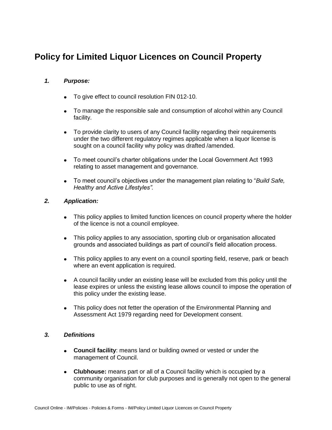# **Policy for Limited Liquor Licences on Council Property**

# *1. Purpose:*

- To give effect to council resolution FIN 012-10.  $\bullet$
- To manage the responsible sale and consumption of alcohol within any Council facility.
- To provide clarity to users of any Council facility regarding their requirements  $\bullet$ under the two different regulatory regimes applicable when a liquor license is sought on a council facility why policy was drafted /amended.
- To meet council's charter obligations under the Local Government Act 1993  $\bullet$ relating to asset management and governance.
- To meet council's objectives under the management plan relating to "*Build Safe,*   $\bullet$ *Healthy and Active Lifestyles".*

## *2. Application:*

- This policy applies to limited function licences on council property where the holder  $\bullet$ of the licence is not a council employee.
- This policy applies to any association, sporting club or organisation allocated  $\bullet$ grounds and associated buildings as part of council's field allocation process.
- This policy applies to any event on a council sporting field, reserve, park or beach where an event application is required.
- A council facility under an existing lease will be excluded from this policy until the  $\bullet$ lease expires or unless the existing lease allows council to impose the operation of this policy under the existing lease.
- This policy does not fetter the operation of the Environmental Planning and  $\bullet$ Assessment Act 1979 regarding need for Development consent.

# *3. Definitions*

- **Council facility**: means land or building owned or vested or under the  $\bullet$ management of Council.
- **Clubhouse:** means part or all of a Council facility which is occupied by a  $\bullet$ community organisation for club purposes and is generally not open to the general public to use as of right.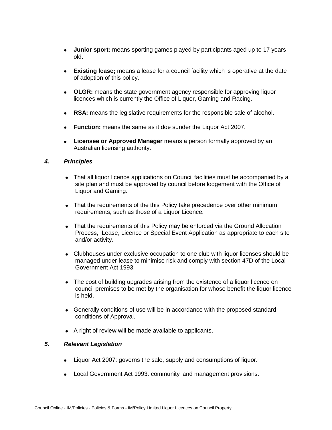- **Junior sport:** means sporting games played by participants aged up to 17 years  $\bullet$ old.
- **Existing lease;** means a lease for a council facility which is operative at the date  $\bullet$ of adoption of this policy.
- **OLGR:** means the state government agency responsible for approving liquor licences which is currently the Office of Liquor, Gaming and Racing.
- **RSA:** means the legislative requirements for the responsible sale of alcohol.  $\bullet$
- **Function:** means the same as it doe sunder the Liquor Act 2007.
- **Licensee or Approved Manager** means a person formally approved by an Australian licensing authority.

## *4. Principles*

- That all liquor licence applications on Council facilities must be accompanied by a site plan and must be approved by council before lodgement with the Office of Liquor and Gaming.
- That the requirements of the this Policy take precedence over other minimum requirements, such as those of a Liquor Licence.
- That the requirements of this Policy may be enforced via the Ground Allocation Process, Lease, Licence or Special Event Application as appropriate to each site and/or activity.
- Clubhouses under exclusive occupation to one club with liquor licenses should be managed under lease to minimise risk and comply with section 47D of the Local Government Act 1993.
- The cost of building upgrades arising from the existence of a liquor licence on council premises to be met by the organisation for whose benefit the liquor licence is held.
- Generally conditions of use will be in accordance with the proposed standard conditions of Approval.
- A right of review will be made available to applicants.

## *5. Relevant Legislation*

- Liquor Act 2007: governs the sale, supply and consumptions of liquor.  $\bullet$
- Local Government Act 1993: community land management provisions.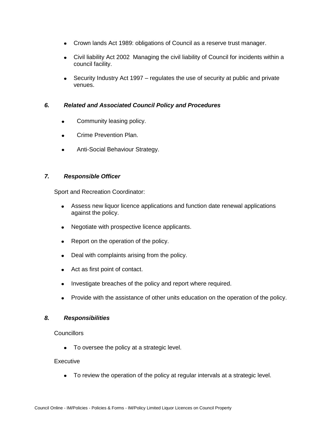- Crown lands Act 1989: obligations of Council as a reserve trust manager.
- Civil liability Act 2002 Managing the civil liability of Council for incidents within a council facility.
- Security Industry Act 1997 regulates the use of security at public and private venues.

# *6. Related and Associated Council Policy and Procedures*

- Community leasing policy.  $\bullet$
- Crime Prevention Plan.  $\bullet$
- Anti-Social Behaviour Strategy.

# *7. Responsible Officer*

Sport and Recreation Coordinator:

- Assess new liquor licence applications and function date renewal applications against the policy.
- Negotiate with prospective licence applicants.  $\bullet$
- Report on the operation of the policy.
- Deal with complaints arising from the policy.  $\bullet$
- Act as first point of contact.
- Investigate breaches of the policy and report where required.
- Provide with the assistance of other units education on the operation of the policy.

# *8. Responsibilities*

#### **Councillors**

To oversee the policy at a strategic level.  $\bullet$ 

#### Executive

To review the operation of the policy at regular intervals at a strategic level.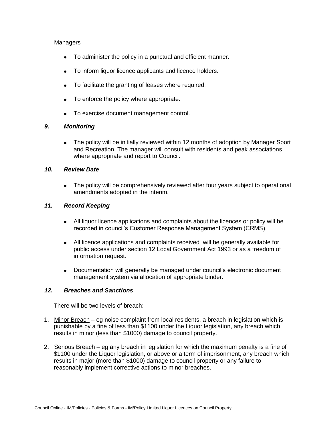## Managers

- To administer the policy in a punctual and efficient manner.
- To inform liquor licence applicants and licence holders.
- To facilitate the granting of leases where required.
- To enforce the policy where appropriate.  $\bullet$
- $\bullet$ To exercise document management control.

## *9. Monitoring*

 $\bullet$ The policy will be initially reviewed within 12 months of adoption by Manager Sport and Recreation. The manager will consult with residents and peak associations where appropriate and report to Council.

## *10. Review Date*

The policy will be comprehensively reviewed after four years subject to operational  $\bullet$ amendments adopted in the interim.

## *11. Record Keeping*

- All liquor licence applications and complaints about the licences or policy will be  $\bullet$ recorded in council's Customer Response Management System (CRMS).
- All licence applications and complaints received will be generally available for  $\bullet$ public access under section 12 Local Government Act 1993 or as a freedom of information request.
- Documentation will generally be managed under council's electronic document  $\bullet$ management system via allocation of appropriate binder.

#### *12. Breaches and Sanctions*

There will be two levels of breach:

- 1. Minor Breach eg noise complaint from local residents, a breach in legislation which is punishable by a fine of less than \$1100 under the Liquor legislation, any breach which results in minor (less than \$1000) damage to council property.
- 2. Serious Breach eg any breach in legislation for which the maximum penalty is a fine of \$1100 under the Liquor legislation, or above or a term of imprisonment, any breach which results in major (more than \$1000) damage to council property or any failure to reasonably implement corrective actions to minor breaches.